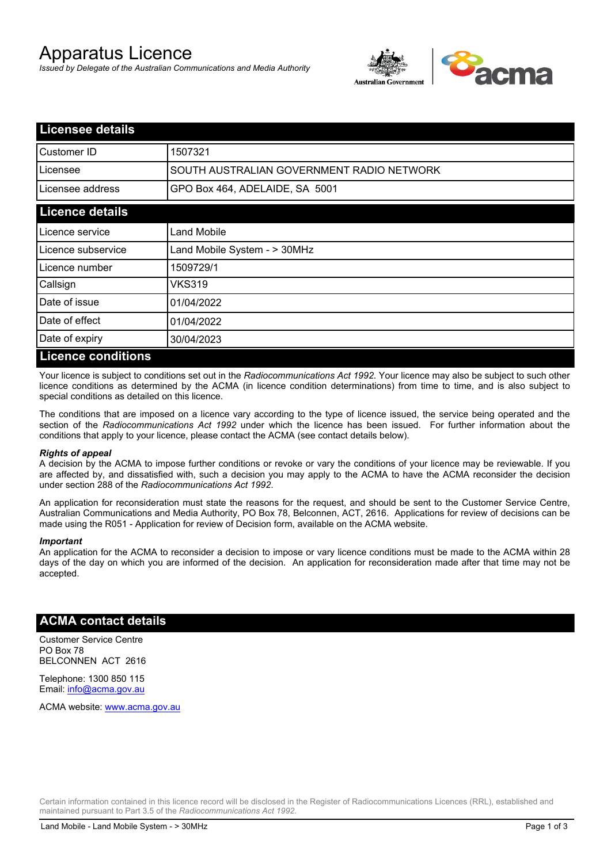# Apparatus Licence

*Issued by Delegate of the Australian Communications and Media Authority*



| <b>Licensee details</b>   |                                           |  |
|---------------------------|-------------------------------------------|--|
| Customer ID               | 1507321                                   |  |
| Licensee                  | SOUTH AUSTRALIAN GOVERNMENT RADIO NETWORK |  |
| Licensee address          | GPO Box 464, ADELAIDE, SA 5001            |  |
| <b>Licence details</b>    |                                           |  |
| Licence service           | Land Mobile                               |  |
| Licence subservice        | Land Mobile System - > 30MHz              |  |
| Licence number            | 1509729/1                                 |  |
| Callsign                  | VKS319                                    |  |
| Date of issue             | 01/04/2022                                |  |
| Date of effect            | 01/04/2022                                |  |
| Date of expiry            | 30/04/2023                                |  |
| <b>Licence conditions</b> |                                           |  |

Your licence is subject to conditions set out in the *Radiocommunications Act 1992*. Your licence may also be subject to such other licence conditions as determined by the ACMA (in licence condition determinations) from time to time, and is also subject to special conditions as detailed on this licence.

The conditions that are imposed on a licence vary according to the type of licence issued, the service being operated and the section of the *Radiocommunications Act 1992* under which the licence has been issued. For further information about the conditions that apply to your licence, please contact the ACMA (see contact details below).

#### *Rights of appeal*

A decision by the ACMA to impose further conditions or revoke or vary the conditions of your licence may be reviewable. If you are affected by, and dissatisfied with, such a decision you may apply to the ACMA to have the ACMA reconsider the decision under section 288 of the *Radiocommunications Act 1992*.

An application for reconsideration must state the reasons for the request, and should be sent to the Customer Service Centre, Australian Communications and Media Authority, PO Box 78, Belconnen, ACT, 2616. Applications for review of decisions can be made using the R051 - Application for review of Decision form, available on the ACMA website.

#### *Important*

An application for the ACMA to reconsider a decision to impose or vary licence conditions must be made to the ACMA within 28 days of the day on which you are informed of the decision. An application for reconsideration made after that time may not be accepted.

### **ACMA contact details**

Customer Service Centre PO Box 78 BELCONNEN ACT 2616

Telephone: 1300 850 115 Email: info@acma.gov.au

ACMA website: www.acma.gov.au

Certain information contained in this licence record will be disclosed in the Register of Radiocommunications Licences (RRL), established and maintained pursuant to Part 3.5 of the *Radiocommunications Act 1992.*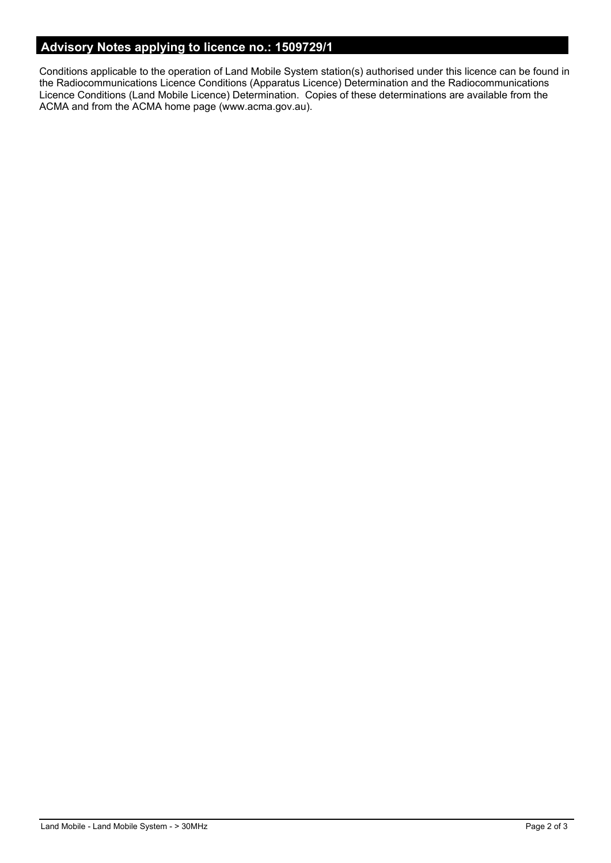# **Advisory Notes applying to licence no.: 1509729/1**

Conditions applicable to the operation of Land Mobile System station(s) authorised under this licence can be found in the Radiocommunications Licence Conditions (Apparatus Licence) Determination and the Radiocommunications Licence Conditions (Land Mobile Licence) Determination. Copies of these determinations are available from the ACMA and from the ACMA home page (www.acma.gov.au).